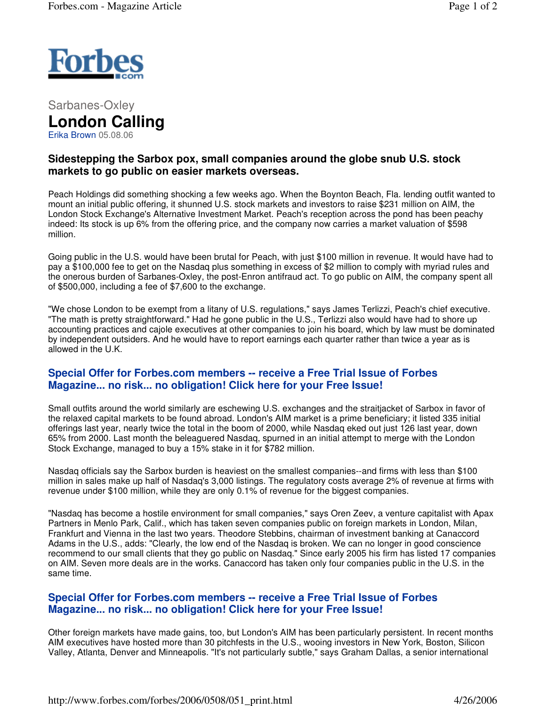

Sarbanes-Oxley **London Calling** Erika Brown 05.08.06

## **Sidestepping the Sarbox pox, small companies around the globe snub U.S. stock markets to go public on easier markets overseas.**

Peach Holdings did something shocking a few weeks ago. When the Boynton Beach, Fla. lending outfit wanted to mount an initial public offering, it shunned U.S. stock markets and investors to raise \$231 million on AIM, the London Stock Exchange's Alternative Investment Market. Peach's reception across the pond has been peachy indeed: Its stock is up 6% from the offering price, and the company now carries a market valuation of \$598 million.

Going public in the U.S. would have been brutal for Peach, with just \$100 million in revenue. It would have had to pay a \$100,000 fee to get on the Nasdaq plus something in excess of \$2 million to comply with myriad rules and the onerous burden of Sarbanes-Oxley, the post-Enron antifraud act. To go public on AIM, the company spent all of \$500,000, including a fee of \$7,600 to the exchange.

"We chose London to be exempt from a litany of U.S. regulations," says James Terlizzi, Peach's chief executive. "The math is pretty straightforward." Had he gone public in the U.S., Terlizzi also would have had to shore up accounting practices and cajole executives at other companies to join his board, which by law must be dominated by independent outsiders. And he would have to report earnings each quarter rather than twice a year as is allowed in the U.K.

## **Special Offer for Forbes.com members -- receive a Free Trial Issue of Forbes Magazine... no risk... no obligation! Click here for your Free Issue!**

Small outfits around the world similarly are eschewing U.S. exchanges and the straitjacket of Sarbox in favor of the relaxed capital markets to be found abroad. London's AIM market is a prime beneficiary; it listed 335 initial offerings last year, nearly twice the total in the boom of 2000, while Nasdaq eked out just 126 last year, down 65% from 2000. Last month the beleaguered Nasdaq, spurned in an initial attempt to merge with the London Stock Exchange, managed to buy a 15% stake in it for \$782 million.

Nasdaq officials say the Sarbox burden is heaviest on the smallest companies--and firms with less than \$100 million in sales make up half of Nasdaq's 3,000 listings. The regulatory costs average 2% of revenue at firms with revenue under \$100 million, while they are only 0.1% of revenue for the biggest companies.

"Nasdaq has become a hostile environment for small companies," says Oren Zeev, a venture capitalist with Apax Partners in Menlo Park, Calif., which has taken seven companies public on foreign markets in London, Milan, Frankfurt and Vienna in the last two years. Theodore Stebbins, chairman of investment banking at Canaccord Adams in the U.S., adds: "Clearly, the low end of the Nasdaq is broken. We can no longer in good conscience recommend to our small clients that they go public on Nasdaq." Since early 2005 his firm has listed 17 companies on AIM. Seven more deals are in the works. Canaccord has taken only four companies public in the U.S. in the same time.

## **Special Offer for Forbes.com members -- receive a Free Trial Issue of Forbes Magazine... no risk... no obligation! Click here for your Free Issue!**

Other foreign markets have made gains, too, but London's AIM has been particularly persistent. In recent months AIM executives have hosted more than 30 pitchfests in the U.S., wooing investors in New York, Boston, Silicon Valley, Atlanta, Denver and Minneapolis. "It's not particularly subtle," says Graham Dallas, a senior international